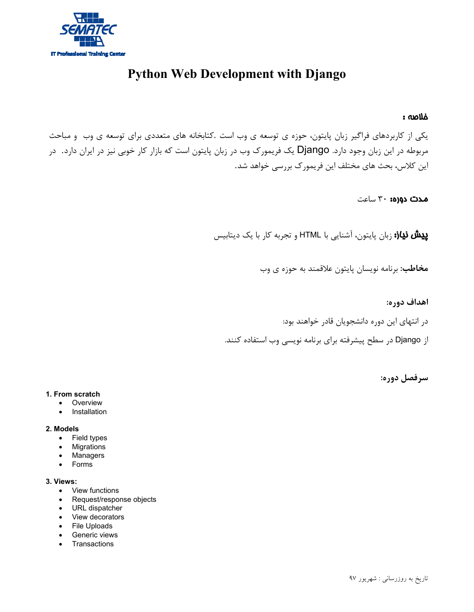

# **Python Web Development with Django**

# خلاصه :

يكي از كاربردهاي فراگير زبان پايتون، حوزه ي توسعه ي وب است .كتابخانه هاي متعددي براي توسعه ي وب و مباحث مربوطه در اين زبان وجود دارد. Django يك فريمورك وب در زبان پايتون است كه بازار كار خوبي نيز در ايران دارد. در اين كلاس، بحث هاي مختلف اين فريمورك بررسي خواهد شد.

مدت دوره: 30 ساعت

پيش نياز: زبان پايتون، آشنايي با HTML و تجربه كار با يك ديتابيس

**مخاطب:** برنامه نويسان پايتون علاقمند به حوزه ي وب

**اهداف دوره:**

در انتهاي اين دوره دانشجويان قادر خواهند بود:

از Django در سطح پيشرفته براي برنامه نويسي وب استفاده كنند.

**سرفصل دوره:**

#### **1. From scratch**

- Overview
- Installation

#### **2. Models**

- Field types
- Migrations
- Managers
- Forms

#### **3. Views:**

- View functions
- Request/response objects
- URL dispatcher
- View decorators
- File Uploads
- **•** Generic views
- Transactions